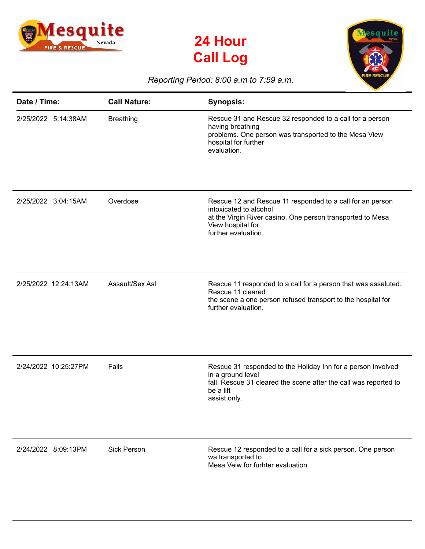





## *Reporting Period: 8:00 a.m to 7:59 a.m.*

| Date / Time:         | <b>Call Nature:</b> | <b>Synopsis:</b>                                                                                                                                                                              |
|----------------------|---------------------|-----------------------------------------------------------------------------------------------------------------------------------------------------------------------------------------------|
| 2/25/2022 5:14:38AM  | <b>Breathing</b>    | Rescue 31 and Rescue 32 responded to a call for a person<br>having breathing<br>problems. One person was transported to the Mesa View<br>hospital for further<br>evaluation.                  |
| 2/25/2022 3:04:15AM  | Overdose            | Rescue 12 and Rescue 11 responded to a call for an person<br>intoxicated to alcohol<br>at the Virgin River casino. One person transported to Mesa<br>View hospital for<br>further evaluation. |
| 2/25/2022 12:24:13AM | Assault/Sex Asl     | Rescue 11 responded to a call for a person that was assaluted.<br>Rescue 11 cleared<br>the scene a one person refused transport to the hospital for<br>further evaluation.                    |
| 2/24/2022 10:25:27PM | Falls               | Rescue 31 responded to the Holiday Inn for a person involved<br>in a ground level<br>fall. Rescue 31 cleared the scene after the call was reported to<br>be a lift<br>assist only.            |
| 2/24/2022 8:09:13PM  | <b>Sick Person</b>  | Rescue 12 responded to a call for a sick person. One person<br>wa transported to<br>Mesa Veiw for furhter evaluation.                                                                         |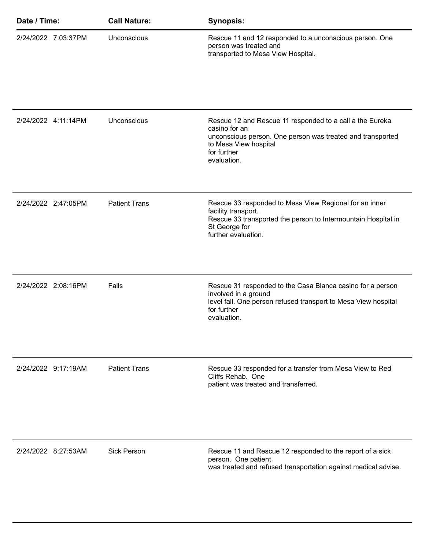| Date / Time: |                     | <b>Call Nature:</b>  | <b>Synopsis:</b>                                                                                                                                                                               |
|--------------|---------------------|----------------------|------------------------------------------------------------------------------------------------------------------------------------------------------------------------------------------------|
|              | 2/24/2022 7:03:37PM | Unconscious          | Rescue 11 and 12 responded to a unconscious person. One<br>person was treated and<br>transported to Mesa View Hospital.                                                                        |
|              | 2/24/2022 4:11:14PM | Unconscious          | Rescue 12 and Rescue 11 responded to a call a the Eureka<br>casino for an<br>unconscious person. One person was treated and transported<br>to Mesa View hospital<br>for further<br>evaluation. |
|              | 2/24/2022 2:47:05PM | <b>Patient Trans</b> | Rescue 33 responded to Mesa View Regional for an inner<br>facility transport.<br>Rescue 33 transported the person to Intermountain Hospital in<br>St George for<br>further evaluation.         |
|              | 2/24/2022 2:08:16PM | Falls                | Rescue 31 responded to the Casa Blanca casino for a person<br>involved in a ground<br>level fall. One person refused transport to Mesa View hospital<br>for further<br>evaluation.             |
|              | 2/24/2022 9:17:19AM | <b>Patient Trans</b> | Rescue 33 responded for a transfer from Mesa View to Red<br>Cliffs Rehab. One<br>patient was treated and transferred.                                                                          |
|              | 2/24/2022 8:27:53AM | <b>Sick Person</b>   | Rescue 11 and Rescue 12 responded to the report of a sick<br>person. One patient<br>was treated and refused transportation against medical advise.                                             |